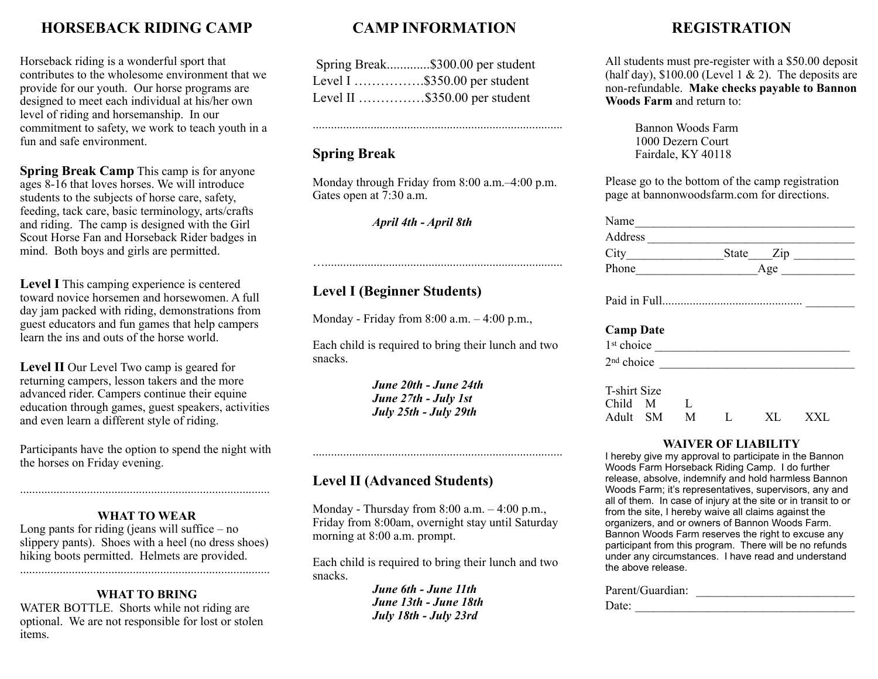## **HORSEBACK RIDING CAMP**

Horseback riding is a wonderful sport that contributes to the wholesome environment that we provide for our youth. Our horse programs are designed to meet each individual at his/her own level of riding and horsemanship. In our commitment to safety, we work to teach youth in a fun and safe environment.

**Spring Break Camp** This camp is for anyone ages 8-16 that loves horses. We will introduce students to the subjects of horse care, safety, feeding, tack care, basic terminology, arts/crafts and riding. The camp is designed with the Girl Scout Horse Fan and Horseback Rider badges in mind. Both boys and girls are permitted.

**Level I** This camping experience is centered toward novice horsemen and horsewomen. A full day jam packed with riding, demonstrations from guest educators and fun games that help campers learn the ins and outs of the horse world.

**Level II** Our Level Two camp is geared for returning campers, lesson takers and the more advanced rider. Campers continue their equine education through games, guest speakers, activities and even learn a different style of riding.

Participants have the option to spend the night with the horses on Friday evening.

#### **WHAT TO WEAR**

Long pants for riding (jeans will suffice  $-$  no slippery pants). Shoes with a heel (no dress shoes) hiking boots permitted. Helmets are provided.

..................................................................................

### **WHAT TO BRING**

WATER BOTTLE. Shorts while not riding are optional. We are not responsible for lost or stolen items.

# **CAMP INFORMATION**

| Spring Break\$300.00 per student |
|----------------------------------|
| Level I \$350.00 per student     |
| Level II \$350.00 per student    |

..................................................................................

### **Spring Break**

Monday through Friday from 8:00 a.m.–4:00 p.m. Gates open at 7:30 a.m.

…..............................................................................

*April 4th - April 8th*

## **Level I (Beginner Students)**

Monday - Friday from 8:00 a.m. – 4:00 p.m.,

Each child is required to bring their lunch and two snacks.

> *June 20th - June 24th June 27th - July 1st July 25th - July 29th*

## **Level II (Advanced Students)**

Monday - Thursday from  $8:00$  a.m.  $-4:00$  p.m., Friday from 8:00am, overnight stay until Saturday morning at 8:00 a.m. prompt.

..................................................................................

Each child is required to bring their lunch and two snacks.

> *June 6th - June 11th June 13th - June 18th July 18th - July 23rd*

## **REGISTRATION**

All students must pre-register with a \$50.00 deposit (half day),  $$100.00$  (Level 1 & 2). The deposits are non-refundable. **Make checks payable to Bannon Woods Farm** and return to:

> Bannon Woods Farm 1000 Dezern Court Fairdale, KY 40118

Please go to the bottom of the camp registration page at bannonwoodsfarm.com for directions.

| Name                   |                                           |
|------------------------|-------------------------------------------|
| Address                |                                           |
| $City$ <sub>___</sub>  | State Zip                                 |
| Phone                  | Age $_{-}$<br><u> 1989 - Jan Jan Jawa</u> |
| <b>Camp Date</b>       |                                           |
| 1 <sup>st</sup> choice |                                           |
| 2 <sup>nd</sup> choice |                                           |
| <b>T-shirt Size</b>    |                                           |

#### **WAIVER OF LIABILITY**

Adult SM M L XL XXL

Child M L

I hereby give my approval to participate in the Bannon Woods Farm Horseback Riding Camp. I do further release, absolve, indemnify and hold harmless Bannon Woods Farm; it's representatives, supervisors, any and all of them. In case of injury at the site or in transit to or from the site, I hereby waive all claims against the organizers, and or owners of Bannon Woods Farm. Bannon Woods Farm reserves the right to excuse any participant from this program. There will be no refunds under any circumstances. I have read and understand the above release.

| Parent/Guardian: |  |
|------------------|--|
| Date:            |  |